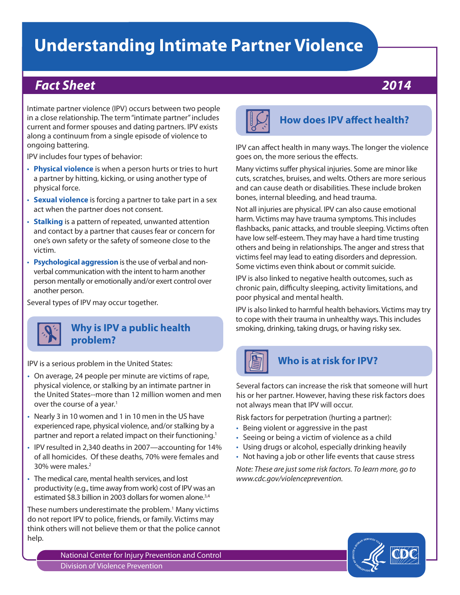# **Understanding Intimate Partner Violence**

# *Fact Sheet 2014*

Intimate partner violence (IPV) occurs between two people in a close relationship. The term "intimate partner" includes current and former spouses and dating partners. IPV exists along a continuum from a single episode of violence to ongoing battering.

IPV includes four types of behavior:

- Physical violence is when a person hurts or tries to hurt a partner by hitting, kicking, or using another type of physical force.
- **Sexual violence** is forcing a partner to take part in a sex act when the partner does not consent.
- **Stalking** is a pattern of repeated, unwanted attention and contact by a partner that causes fear or concern for one's own safety or the safety of someone close to the victim.
- **Psychological aggression** is the use of verbal and nonverbal communication with the intent to harm another person mentally or emotionally and/or exert control over another person.

Several types of IPV may occur together.



IPV is a serious problem in the United States:

- On average, 24 people per minute are victims of rape, physical violence, or stalking by an intimate partner in the United States--more than 12 million women and men over the course of a year.<sup>1</sup>
- Nearly 3 in 10 women and 1 in 10 men in the US have experienced rape, physical violence, and/or stalking by a partner and report a related impact on their functioning.<sup>1</sup>
- IPV resulted in 2,340 deaths in 2007—accounting for 14% of all homicides. Of these deaths, 70% were females and 30% were males.2
- The medical care, mental health services, and lost productivity (e.g., time away from work) cost of IPV was an estimated \$8.3 billion in 2003 dollars for women alone.<sup>3,4</sup>

These numbers underestimate the problem.<sup>1</sup> Many victims do not report IPV to police, friends, or family. Victims may think others will not believe them or that the police cannot help.

> National Center for Injury Prevention and Control Division of Violence Prevention



# **How does IPV affect health?**

IPV can affect health in many ways. The longer the violence goes on, the more serious the effects.

Many victims suffer physical injuries. Some are minor like cuts, scratches, bruises, and welts. Others are more serious and can cause death or disabilities. These include broken bones, internal bleeding, and head trauma.

Not all injuries are physical. IPV can also cause emotional harm. Victims may have trauma symptoms. This includes flashbacks, panic attacks, and trouble sleeping. Victims often have low self-esteem. They may have a hard time trusting others and being in relationships. The anger and stress that victims feel may lead to eating disorders and depression. Some victims even think about or commit suicide.

IPV is also linked to negative health outcomes, such as chronic pain, difficulty sleeping, activity limitations, and poor physical and mental health.

IPV is also linked to harmful health behaviors. Victims may try to cope with their trauma in unhealthy ways. This includes smoking, drinking, taking drugs, or having risky sex.



## **Who is at risk for IPV?**

Several factors can increase the risk that someone will hurt his or her partner. However, having these risk factors does not always mean that IPV will occur.

Risk factors for perpetration (hurting a partner):

- Being violent or aggressive in the past
- Seeing or being a victim of violence as a child
- Using drugs or alcohol, especially drinking heavily
- Not having a job or other life events that cause stress

*Note: These are just some risk factors. To learn more, go to www.cdc.gov/violenceprevention.*